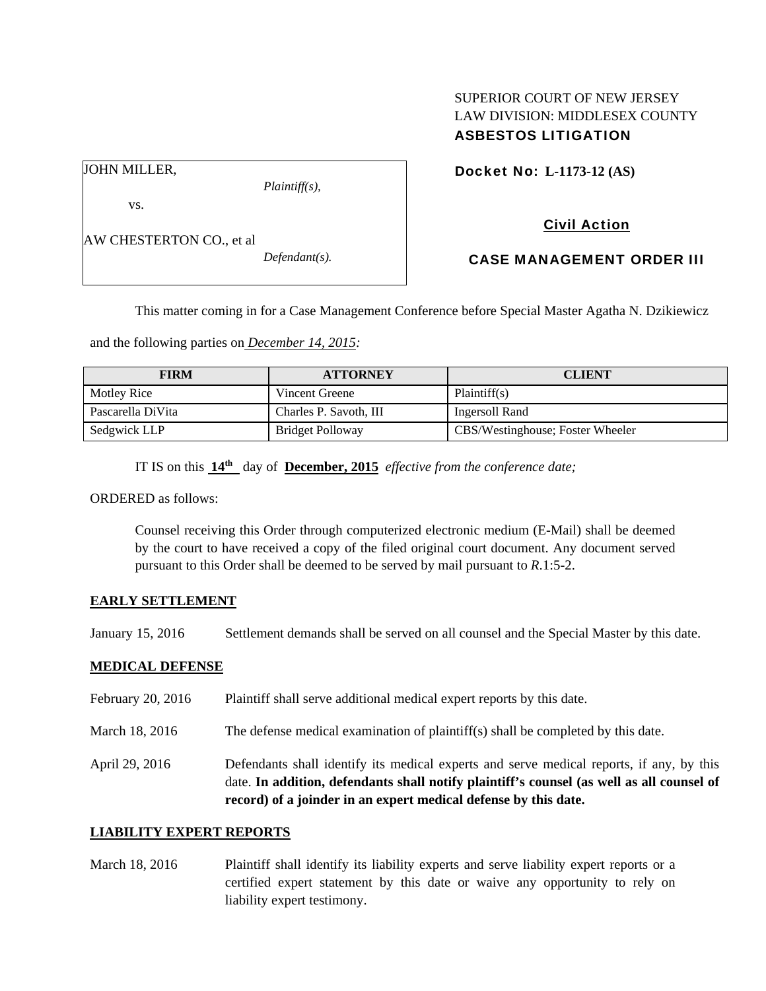# SUPERIOR COURT OF NEW JERSEY LAW DIVISION: MIDDLESEX COUNTY ASBESTOS LITIGATION

JOHN MILLER,

vs.

*Plaintiff(s),* 

Civil Action

Docket No: **L-1173-12 (AS)** 

AW CHESTERTON CO., et al

*Defendant(s).* 

CASE MANAGEMENT ORDER III

This matter coming in for a Case Management Conference before Special Master Agatha N. Dzikiewicz

and the following parties on *December 14, 2015:* 

| <b>FIRM</b>       | <b>ATTORNEY</b>        | <b>CLIENT</b>                    |
|-------------------|------------------------|----------------------------------|
| Motley Rice       | Vincent Greene         | Plaintiff(s)                     |
| Pascarella DiVita | Charles P. Savoth, III | Ingersoll Rand                   |
| Sedgwick LLP      | Bridget Polloway       | CBS/Westinghouse; Foster Wheeler |

IT IS on this **14th** day of **December, 2015** *effective from the conference date;*

ORDERED as follows:

Counsel receiving this Order through computerized electronic medium (E-Mail) shall be deemed by the court to have received a copy of the filed original court document. Any document served pursuant to this Order shall be deemed to be served by mail pursuant to *R*.1:5-2.

#### **EARLY SETTLEMENT**

January 15, 2016 Settlement demands shall be served on all counsel and the Special Master by this date.

## **MEDICAL DEFENSE**

| April 29, 2016    | Defendants shall identify its medical experts and serve medical reports, if any, by this<br>date. In addition, defendants shall notify plaintiff's counsel (as well as all counsel of<br>record) of a joinder in an expert medical defense by this date. |
|-------------------|----------------------------------------------------------------------------------------------------------------------------------------------------------------------------------------------------------------------------------------------------------|
| March 18, 2016    | The defense medical examination of plaintiff(s) shall be completed by this date.                                                                                                                                                                         |
| February 20, 2016 | Plaintiff shall serve additional medical expert reports by this date.                                                                                                                                                                                    |

## **LIABILITY EXPERT REPORTS**

March 18, 2016 Plaintiff shall identify its liability experts and serve liability expert reports or a certified expert statement by this date or waive any opportunity to rely on liability expert testimony.